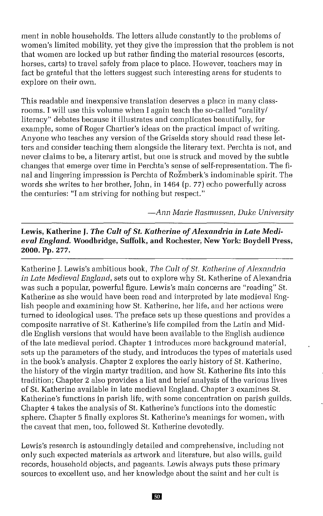ment in noble households. The letters allude constantly to the problems of women's limited mobility, yet they give the impression that the problem is not that women are locked up but rather finding the material resources (escorts, horses, carts) to travel safely from place to place. However, teachers may in fact be grateful that the letters suggest such interesting areas for students to explore on their own.

This readable and inexpensive translation deserves a place in many classrooms. 1 will use this volume when 1again teach the so-called "orality/ literacy" debates because it illustrates and complicates beautifully, for example, some of Roger Chartier's ideas on the practical impact of writing. Anyone who teaches any version of the Griselda story should read these letters and consider teaching them alongside the literary text. Perchta is not, and never claims to be, a literary artist, but one is struck and moved by the subtle changes that emerge over time in Perchta's sense of self-representation. The final and lingering impression is Perchta of Rožmberk's indominable spirit. The words she writes to her brother, John, in 1464 (p. 77) echo powerfully across the centuries: "1 am striving for nothing but respect."

*-Ann Marie Rasmussen, Duke University*

## Lewis, Katherine J. The Cult of St. Katherine of Alexandria in Late Medi*eval England.* **Woodbridge, Suffolk, and Rochester,** New **York: Boydell Press, 2000. Pp.** 277.

Katherine J. Lewis's ambitious book, *The Cult of St. Katherine of Alexandria in Late Medieval England,* sets out to explore why St. Katherine of Alexandria was such a popular, powerful figure. Lewis's main concerns are "reading" St. Katherine as she would have been read and interpreted by late medieval English people and examining how St. Katherine, her life, and her actions were turned to ideological uses. The preface sets up these questions and provides a composite narrative of St. Katherine's life compiled from the Latin and Middle English versions that would have been available to the English audience of the late medieval period. Chapter 1 introduces more background material, sets up the parameters of the study, and introduces the types of materials used in the book's analysis. Chapter 2 explores the early history of St. Katherine, the history of the virgin martyr tradition, and how St. Katherine fits into this tradition; Chapter 2 also provides a list and brief analysis of the various lives of St. Katherine available in late medieval England. Chapter 3 examines St. Katherine's functions in parish life, with some concentration on parish guilds. Chapter 4 takes the analysis of St. Katherine's functions into the domestic sphere. Chapter 5 finally explores St. Katherine's meanings for women, with the caveat that men, too, followed St. Katherine devotedly.

Lewis's research is astoundingly detailed and comprehensive, including not only such expected materials as artwork and literature, but also wills, guild records, household objects, and pageants. Lewis always puts these primary sources to excellent use, and her knowledge about the saint and her cult is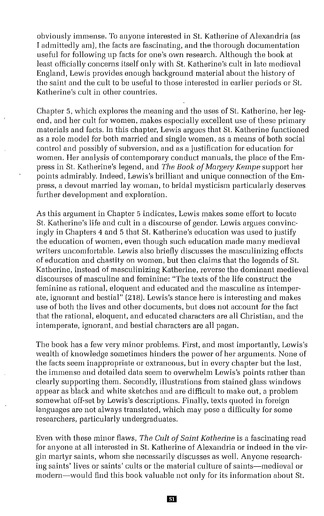obviously immense. To anyone interested in St. Katherine of Alexandria (as I admittedly am), the facts are fascinating, and the thorough documentation useful for following up facts for one's own research. Although the book at least officially concerns itself only with St. Katherine's cult in late medieval England, Lewis provides enough background material about the history of the saint and the cult to be useful to those interested in earlier periods or St. Katherine's cult in other countries.

Chapter 5, which explores the meaning and the uses of St. Katherine, her legend, and her cult for women, makes especially excellent use of these primary materials and facts. In this chapter, Lewis argues that St. Katherine functioned as a role model for both married and single women, as a means of both social control and possibly of subversion, and as a justification for education for women. Her analysis of contemporary conduct manuals, the place of the Empress in St. Katherine's legend, and *The Book ofMatgery Kempe* support her points admirably. Indeed, Lewis's brilliant and unique connection of the Empress, a devout married lay woman, to bridal mysticism particularly deserves further development and exploration.

As this argument in Chapter 5 indicates, Lewis makes some effort to locate St. Katherine's life and cult in a discourse of gender. Lewis argues convincingly in Chapters 4 and 5 that St. Katherine's education was used to justify the education of women, even though such education made many medieval writers uncomfortable. Lewis also brietly discusses the masculinizing effects of education and chastity on women, but then claims that the legends of St. Katherine, instead of masculinizing Katherine, reverse the dominant medieval discourses of masculine and feminine: "The texts of the life construct the feminine as rational, eloquent and educated and the masculine as intemperate, ignorant and bestial" (218). Lewis's stance here is interesting and makes use of both the lives and other documents, but does not account for the fact that the rational, eloquent, and educated characters are all Christian, and the intemperate, ignorant, and bestial characters are all pagan.

The book has a few very minor problems. First, and most importantly, Lewis's wealth of knowledge sometimes hinders the power of her arguments. None of the facts seem inappropriate or extraneous, but in every chapter but the last, the immense and detailed data seem to overwhelm Lewis's points rather than clearly supporting them. Secondly, illustrations from stained glass windows appear as black and white sketches and are difficult to make out, a problem somewhat off-set by Lewis's descriptions. Finally, texts quoted in foreign languages are not always translated, which may pose a difficulty for some researchers, particularly undergraduates.

Even with these minor tlaws, *The Cult of Saint Katherine* is a fascinating read for anyone at all interested in St. Katherine of Alexandria or indeed in the virgin martyr saints, whom she necessarily discusses as well. Anyone researching saints' lives or saints' cults or the material culture of saints-medieval or modern-would find this book valuable not only for its information about St.